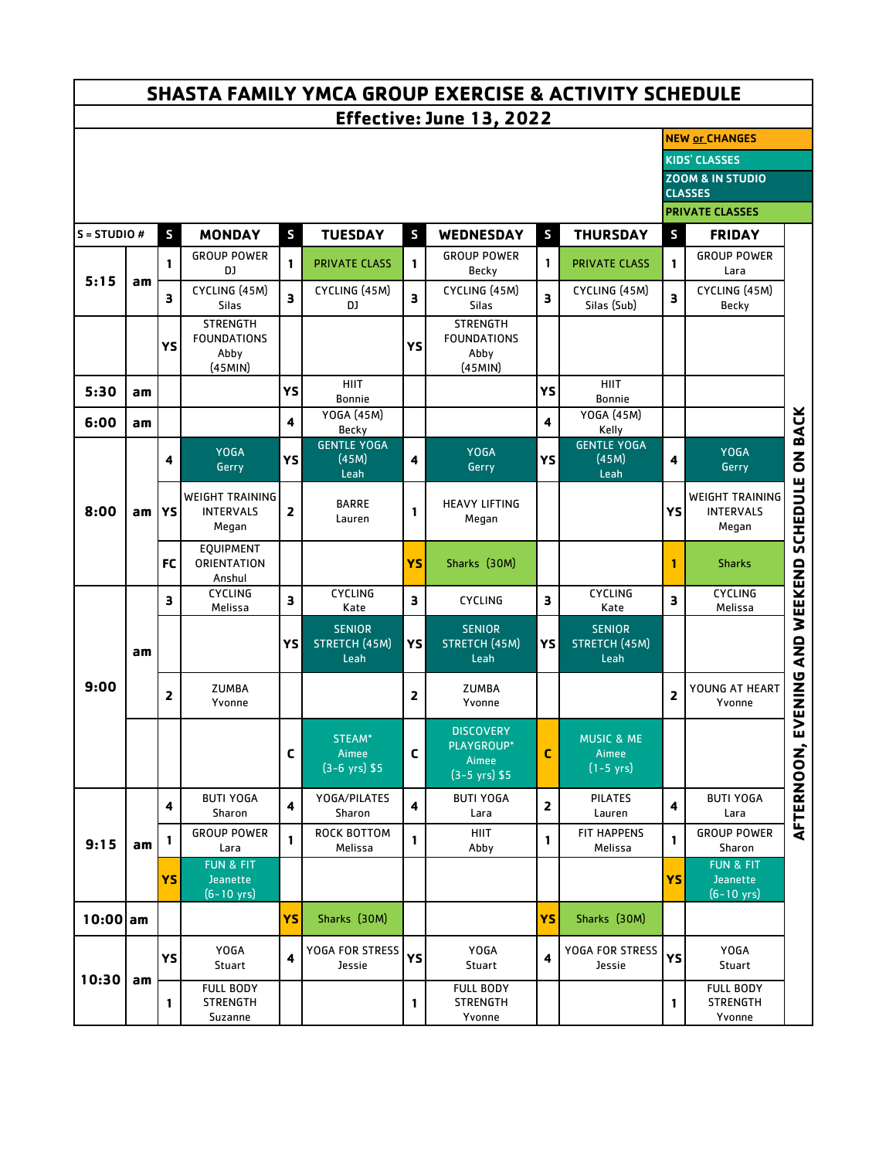| <b>SHASTA FAMILY YMCA GROUP EXERCISE &amp; ACTIVITY SCHEDULE</b> |    |              |                                                     |                |                                               |                         |                                                                    |                         |                                               |                                                     |                                                            |                 |  |
|------------------------------------------------------------------|----|--------------|-----------------------------------------------------|----------------|-----------------------------------------------|-------------------------|--------------------------------------------------------------------|-------------------------|-----------------------------------------------|-----------------------------------------------------|------------------------------------------------------------|-----------------|--|
| Effective: June 13, 2022                                         |    |              |                                                     |                |                                               |                         |                                                                    |                         |                                               |                                                     |                                                            |                 |  |
|                                                                  |    |              |                                                     |                |                                               |                         |                                                                    |                         |                                               | <b>NEW or CHANGES</b>                               |                                                            |                 |  |
|                                                                  |    |              |                                                     |                |                                               |                         |                                                                    |                         |                                               | <b>KIDS' CLASSES</b><br><b>ZOOM &amp; IN STUDIO</b> |                                                            |                 |  |
|                                                                  |    |              |                                                     |                |                                               |                         |                                                                    |                         |                                               | <b>CLASSES</b>                                      |                                                            |                 |  |
|                                                                  |    |              |                                                     |                |                                               |                         |                                                                    |                         | <b>PRIVATE CLASSES</b>                        |                                                     |                                                            |                 |  |
| $S = STUDIO #$                                                   |    | $\mathsf{s}$ | <b>MONDAY</b>                                       | S              | <b>TUESDAY</b>                                | S                       | <b>WEDNESDAY</b>                                                   | $\mathsf{s}$            | <b>THURSDAY</b>                               | S                                                   | <b>FRIDAY</b>                                              |                 |  |
| 5:15                                                             | am | 1            | <b>GROUP POWER</b><br>DJ                            | 1              | <b>PRIVATE CLASS</b>                          | 1                       | <b>GROUP POWER</b><br><b>Becky</b>                                 | 1                       | <b>PRIVATE CLASS</b>                          | 1                                                   | <b>GROUP POWER</b><br>Lara                                 |                 |  |
|                                                                  |    | 3            | CYCLING (45M)<br><b>Silas</b>                       | 3              | CYCLING (45M)<br>DJ                           | З                       | CYCLING (45M)<br><b>Silas</b>                                      | $\overline{\mathbf{3}}$ | CYCLING (45M)<br>Silas (Sub)                  | 3                                                   | CYCLING (45M)<br>Becky                                     |                 |  |
|                                                                  |    |              | <b>STRENGTH</b><br><b>FOUNDATIONS</b>               |                |                                               | YS                      | <b>STRENGTH</b><br><b>FOUNDATIONS</b>                              |                         |                                               |                                                     |                                                            |                 |  |
|                                                                  |    | YS           | Abby                                                |                |                                               |                         | Abby                                                               |                         |                                               |                                                     |                                                            |                 |  |
|                                                                  |    |              | (45MIN)                                             |                | <b>HIIT</b>                                   |                         | (45MIN)                                                            |                         | <b>HIIT</b>                                   |                                                     |                                                            |                 |  |
| 5:30                                                             | am |              |                                                     | YS             | <b>Bonnie</b>                                 |                         |                                                                    | YS                      | <b>Bonnie</b>                                 |                                                     |                                                            |                 |  |
| 6:00                                                             | am |              |                                                     | 4              | YOGA (45M)<br>Becky                           |                         |                                                                    | 4                       | YOGA (45M)<br>Kelly                           |                                                     |                                                            | <b>ON BACK</b>  |  |
| 8:00                                                             | am | 4            | <b>YOGA</b><br>Gerry                                | YS             | <b>GENTLE YOGA</b><br>(45M)<br>Leah           | 4                       | <b>YOGA</b><br>Gerry                                               | YS                      | <b>GENTLE YOGA</b><br>(45M)<br>Leah           | 4                                                   | <b>YOGA</b><br>Gerry                                       |                 |  |
|                                                                  |    | YS           | <b>WEIGHT TRAINING</b><br><b>INTERVALS</b><br>Megan | $\overline{2}$ | <b>BARRE</b><br>Lauren                        | 1                       | <b>HEAVY LIFTING</b><br>Megan                                      |                         |                                               | YS                                                  | WEIGHT TRAINING<br><b>INTERVALS</b><br>Megan               | <b>SCHEDULE</b> |  |
|                                                                  |    | <b>FC</b>    | <b>EQUIPMENT</b><br>ORIENTATION<br>Anshul           |                |                                               | <b>YS</b>               | Sharks (30M)                                                       |                         |                                               | 1                                                   | <b>Sharks</b>                                              |                 |  |
|                                                                  | am | 3            | <b>CYCLING</b><br>Melissa                           | З              | <b>CYCLING</b><br>Kate                        | 3                       | <b>CYCLING</b>                                                     | 3                       | <b>CYCLING</b><br>Kate                        | 3                                                   | <b>CYCLING</b><br>Melissa                                  |                 |  |
| 9:00                                                             |    |              |                                                     | YS             | <b>SENIOR</b><br><b>STRETCH (45M)</b><br>Leah | YS                      | <b>SENIOR</b><br>STRETCH (45M)<br>Leah                             | YS                      | <b>SENIOR</b><br><b>STRETCH (45M)</b><br>Leah |                                                     |                                                            | AND WEEKEND     |  |
|                                                                  |    | 2            | <b>ZUMBA</b><br>Yvonne                              |                |                                               | 2                       | <b>ZUMBA</b><br>Yvonne                                             |                         |                                               | 2                                                   | YOUNG AT HEART<br>Yvonne                                   | <b>UZINING</b>  |  |
|                                                                  |    |              |                                                     | C              | STEAM*<br>Aimee<br>$(3-6 \text{ yrs})$ \$5    | $\mathsf{C}$            | <b>DISCOVERY</b><br>PLAYGROUP*<br>Aimee<br>$(3-5 \text{ yrs})$ \$5 | $\mathsf{C}$            | <b>MUSIC &amp; ME</b><br>Aimee<br>$(1-5$ yrs) |                                                     |                                                            | AFTERNOON,      |  |
| 9:15                                                             | am | 4            | <b>BUTI YOGA</b><br>Sharon                          | 4              | YOGA/PILATES<br>Sharon                        | $\overline{\mathbf{4}}$ | <b>BUTI YOGA</b><br>Lara                                           | 2                       | <b>PILATES</b><br>Lauren                      | 4                                                   | <b>BUTI YOGA</b><br>Lara                                   |                 |  |
|                                                                  |    | 1            | <b>GROUP POWER</b><br>Lara                          | 1              | ROCK BOTTOM<br>Melissa                        | 1                       | <b>HIIT</b><br>Abby                                                | 1                       | <b>FIT HAPPENS</b><br>Melissa                 | 1                                                   | <b>GROUP POWER</b><br>Sharon                               |                 |  |
|                                                                  |    | YSI          | FUN & FIT<br>Jeanette<br>$(6 - 10 \text{ yrs})$     |                |                                               |                         |                                                                    |                         |                                               | YS                                                  | <b>FUN &amp; FIT</b><br>Jeanette<br>$(6 - 10 \text{ yrs})$ |                 |  |
| $10:00$ am                                                       |    |              |                                                     | YS.            | Sharks (30M)                                  |                         |                                                                    | YS.                     | Sharks (30M)                                  |                                                     |                                                            |                 |  |
| 10:30                                                            | am | YS           | <b>YOGA</b><br>Stuart                               | 4              | YOGA FOR STRESS<br>Jessie                     | YS                      | <b>YOGA</b><br>Stuart                                              |                         | YOGA FOR STRESS<br>Jessie                     | YS                                                  | <b>YOGA</b><br>Stuart                                      |                 |  |
|                                                                  |    | 1            | <b>FULL BODY</b><br><b>STRENGTH</b><br>Suzanne      |                |                                               | 1                       | <b>FULL BODY</b><br><b>STRENGTH</b><br>Yvonne                      |                         |                                               | 1                                                   | <b>FULL BODY</b><br><b>STRENGTH</b><br>Yvonne              |                 |  |